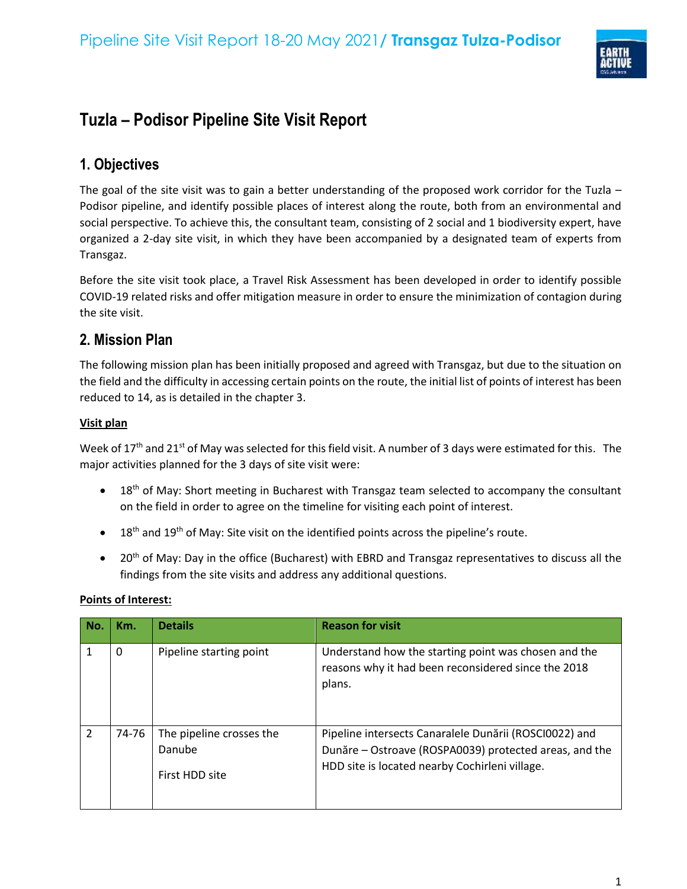

# **Tuzla – Podisor Pipeline Site Visit Report**

## **1. Objectives**

The goal of the site visit was to gain a better understanding of the proposed work corridor for the Tuzla – Podisor pipeline, and identify possible places of interest along the route, both from an environmental and social perspective. To achieve this, the consultant team, consisting of 2 social and 1 biodiversity expert, have organized a 2-day site visit, in which they have been accompanied by a designated team of experts from Transgaz.

Before the site visit took place, a Travel Risk Assessment has been developed in order to identify possible COVID-19 related risks and offer mitigation measure in order to ensure the minimization of contagion during the site visit.

## **2. Mission Plan**

The following mission plan has been initially proposed and agreed with Transgaz, but due to the situation on the field and the difficulty in accessing certain points on the route, the initial list of points of interest has been reduced to 14, as is detailed in the chapter 3.

### **Visit plan**

Week of 17<sup>th</sup> and 21<sup>st</sup> of May was selected for this field visit. A number of 3 days were estimated for this. The major activities planned for the 3 days of site visit were:

- $\bullet$  18<sup>th</sup> of May: Short meeting in Bucharest with Transgaz team selected to accompany the consultant on the field in order to agree on the timeline for visiting each point of interest.
- 18<sup>th</sup> and 19<sup>th</sup> of May: Site visit on the identified points across the pipeline's route.
- $20<sup>th</sup>$  of May: Day in the office (Bucharest) with EBRD and Transgaz representatives to discuss all the findings from the site visits and address any additional questions.

| No.            | Km.   | <b>Details</b>                                       | <b>Reason for visit</b>                                                                                                                                            |
|----------------|-------|------------------------------------------------------|--------------------------------------------------------------------------------------------------------------------------------------------------------------------|
|                | 0     | Pipeline starting point                              | Understand how the starting point was chosen and the<br>reasons why it had been reconsidered since the 2018<br>plans.                                              |
| $\overline{2}$ | 74-76 | The pipeline crosses the<br>Danube<br>First HDD site | Pipeline intersects Canaralele Dunării (ROSCI0022) and<br>Dunăre - Ostroave (ROSPA0039) protected areas, and the<br>HDD site is located nearby Cochirleni village. |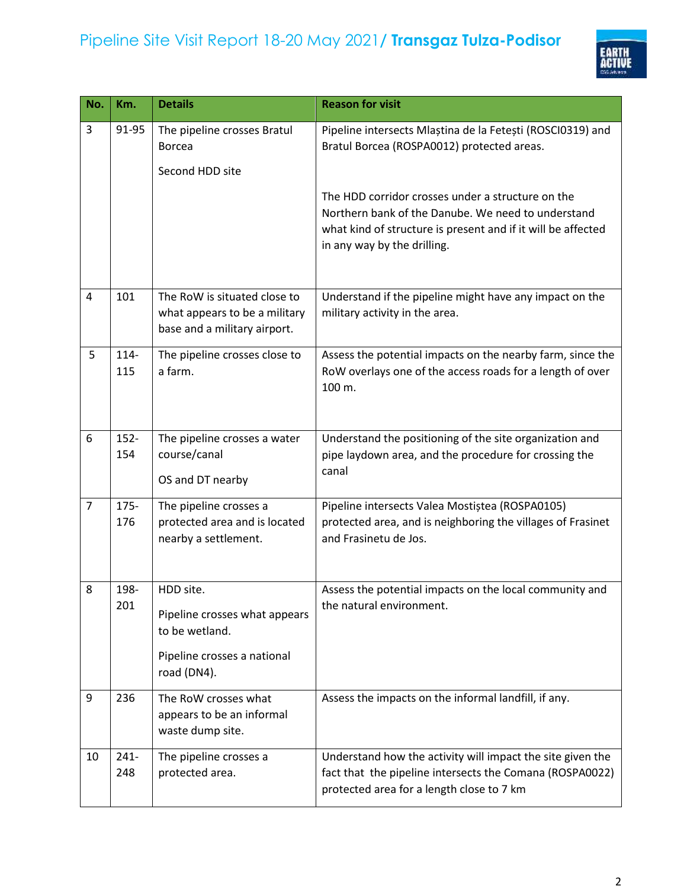

| No.            | Km.            | <b>Details</b>                                                                                             | <b>Reason for visit</b>                                                                                                                                                                                |
|----------------|----------------|------------------------------------------------------------------------------------------------------------|--------------------------------------------------------------------------------------------------------------------------------------------------------------------------------------------------------|
| 3              | 91-95          | The pipeline crosses Bratul<br><b>Borcea</b><br>Second HDD site                                            | Pipeline intersects Mlaștina de la Fetești (ROSCI0319) and<br>Bratul Borcea (ROSPA0012) protected areas.                                                                                               |
|                |                |                                                                                                            | The HDD corridor crosses under a structure on the<br>Northern bank of the Danube. We need to understand<br>what kind of structure is present and if it will be affected<br>in any way by the drilling. |
| 4              | 101            | The RoW is situated close to<br>what appears to be a military<br>base and a military airport.              | Understand if the pipeline might have any impact on the<br>military activity in the area.                                                                                                              |
| 5              | 114-<br>115    | The pipeline crosses close to<br>a farm.                                                                   | Assess the potential impacts on the nearby farm, since the<br>RoW overlays one of the access roads for a length of over<br>100 m.                                                                      |
| 6              | $152 -$<br>154 | The pipeline crosses a water<br>course/canal<br>OS and DT nearby                                           | Understand the positioning of the site organization and<br>pipe laydown area, and the procedure for crossing the<br>canal                                                                              |
| $\overline{7}$ | 175-<br>176    | The pipeline crosses a<br>protected area and is located<br>nearby a settlement.                            | Pipeline intersects Valea Mostiștea (ROSPA0105)<br>protected area, and is neighboring the villages of Frasinet<br>and Frasinetu de Jos.                                                                |
| 8              | 198-<br>201    | HDD site.<br>Pipeline crosses what appears<br>to be wetland.<br>Pipeline crosses a national<br>road (DN4). | Assess the potential impacts on the local community and<br>the natural environment.                                                                                                                    |
| 9              | 236            | The RoW crosses what<br>appears to be an informal<br>waste dump site.                                      | Assess the impacts on the informal landfill, if any.                                                                                                                                                   |
| 10             | $241 -$<br>248 | The pipeline crosses a<br>protected area.                                                                  | Understand how the activity will impact the site given the<br>fact that the pipeline intersects the Comana (ROSPA0022)<br>protected area for a length close to 7 km                                    |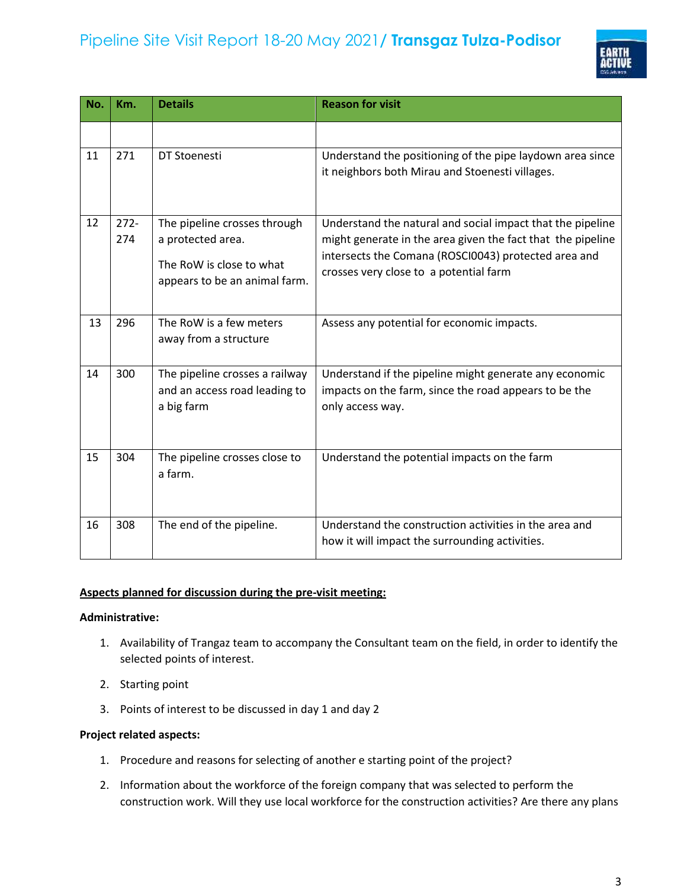

| No. | Km.     | <b>Details</b>                                            | <b>Reason for visit</b>                                                                                             |
|-----|---------|-----------------------------------------------------------|---------------------------------------------------------------------------------------------------------------------|
|     |         |                                                           |                                                                                                                     |
| 11  | 271     | DT Stoenesti                                              | Understand the positioning of the pipe laydown area since<br>it neighbors both Mirau and Stoenesti villages.        |
| 12  | $272 -$ | The pipeline crosses through                              | Understand the natural and social impact that the pipeline                                                          |
|     | 274     | a protected area.                                         | might generate in the area given the fact that the pipeline<br>intersects the Comana (ROSCI0043) protected area and |
|     |         | The RoW is close to what<br>appears to be an animal farm. | crosses very close to a potential farm                                                                              |
| 13  | 296     | The RoW is a few meters<br>away from a structure          | Assess any potential for economic impacts.                                                                          |
| 14  | 300     | The pipeline crosses a railway                            | Understand if the pipeline might generate any economic                                                              |
|     |         | and an access road leading to<br>a big farm               | impacts on the farm, since the road appears to be the<br>only access way.                                           |
| 15  | 304     | The pipeline crosses close to<br>a farm.                  | Understand the potential impacts on the farm                                                                        |
| 16  | 308     | The end of the pipeline.                                  | Understand the construction activities in the area and<br>how it will impact the surrounding activities.            |

### **Aspects planned for discussion during the pre-visit meeting:**

#### **Administrative:**

- 1. Availability of Trangaz team to accompany the Consultant team on the field, in order to identify the selected points of interest.
- 2. Starting point
- 3. Points of interest to be discussed in day 1 and day 2

### **Project related aspects:**

- 1. Procedure and reasons for selecting of another e starting point of the project?
- 2. Information about the workforce of the foreign company that was selected to perform the construction work. Will they use local workforce for the construction activities? Are there any plans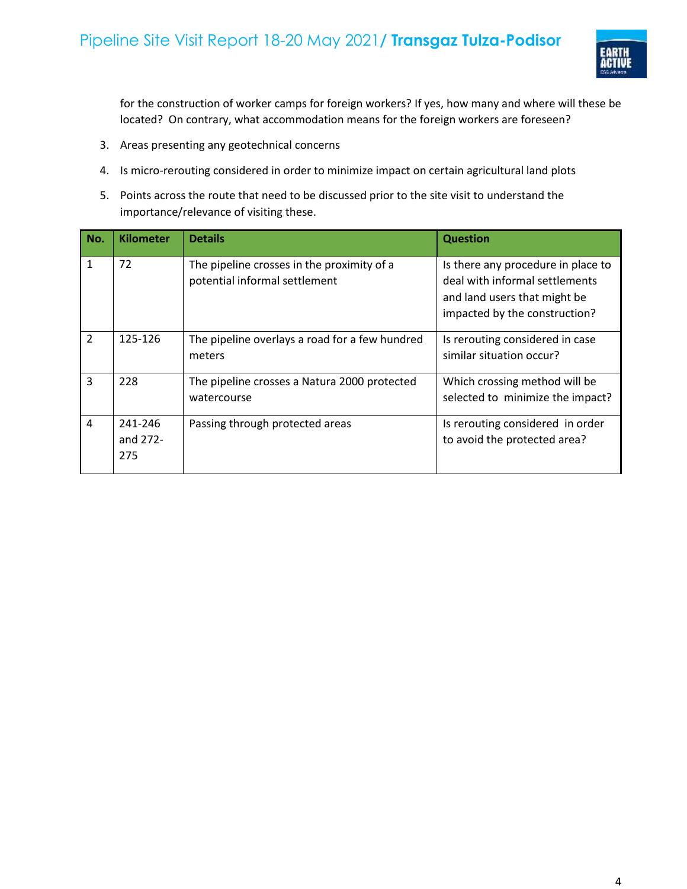

for the construction of worker camps for foreign workers? If yes, how many and where will these be located? On contrary, what accommodation means for the foreign workers are foreseen?

- 3. Areas presenting any geotechnical concerns
- 4. Is micro-rerouting considered in order to minimize impact on certain agricultural land plots
- 5. Points across the route that need to be discussed prior to the site visit to understand the importance/relevance of visiting these.

| No.            | <b>Kilometer</b>           | <b>Details</b>                                                              | <b>Question</b>                                                                                                                       |
|----------------|----------------------------|-----------------------------------------------------------------------------|---------------------------------------------------------------------------------------------------------------------------------------|
| $\mathbf{1}$   | 72                         | The pipeline crosses in the proximity of a<br>potential informal settlement | Is there any procedure in place to<br>deal with informal settlements<br>and land users that might be<br>impacted by the construction? |
| 2              | 125-126                    | The pipeline overlays a road for a few hundred<br>meters                    | Is rerouting considered in case<br>similar situation occur?                                                                           |
| $\overline{3}$ | 228                        | The pipeline crosses a Natura 2000 protected<br>watercourse                 | Which crossing method will be<br>selected to minimize the impact?                                                                     |
| $\overline{4}$ | 241-246<br>and 272-<br>275 | Passing through protected areas                                             | Is rerouting considered in order<br>to avoid the protected area?                                                                      |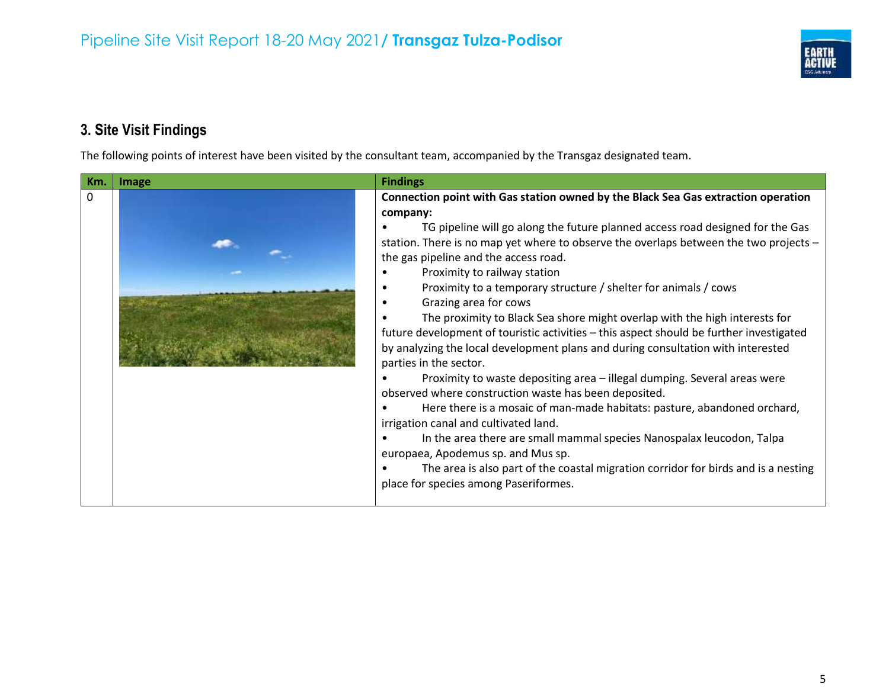

# **3. Site Visit Findings**

The following points of interest have been visited by the consultant team, accompanied by the Transgaz designated team.

| Connection point with Gas station owned by the Black Sea Gas extraction operation<br>$\mathbf{0}$                                                                                                                                                                                                                                                                                                                                                                                                                                                                                                                                                                                                                                                                                                                                                                                                                                                                                                                                                                                                             |
|---------------------------------------------------------------------------------------------------------------------------------------------------------------------------------------------------------------------------------------------------------------------------------------------------------------------------------------------------------------------------------------------------------------------------------------------------------------------------------------------------------------------------------------------------------------------------------------------------------------------------------------------------------------------------------------------------------------------------------------------------------------------------------------------------------------------------------------------------------------------------------------------------------------------------------------------------------------------------------------------------------------------------------------------------------------------------------------------------------------|
| company:<br>TG pipeline will go along the future planned access road designed for the Gas<br>station. There is no map yet where to observe the overlaps between the two projects -<br>the gas pipeline and the access road.<br>Proximity to railway station<br>Proximity to a temporary structure / shelter for animals / cows<br>Grazing area for cows<br>The proximity to Black Sea shore might overlap with the high interests for<br>future development of touristic activities – this aspect should be further investigated<br>by analyzing the local development plans and during consultation with interested<br>parties in the sector.<br>Proximity to waste depositing area - illegal dumping. Several areas were<br>observed where construction waste has been deposited.<br>Here there is a mosaic of man-made habitats: pasture, abandoned orchard,<br>irrigation canal and cultivated land.<br>In the area there are small mammal species Nanospalax leucodon, Talpa<br>europaea, Apodemus sp. and Mus sp.<br>The area is also part of the coastal migration corridor for birds and is a nesting |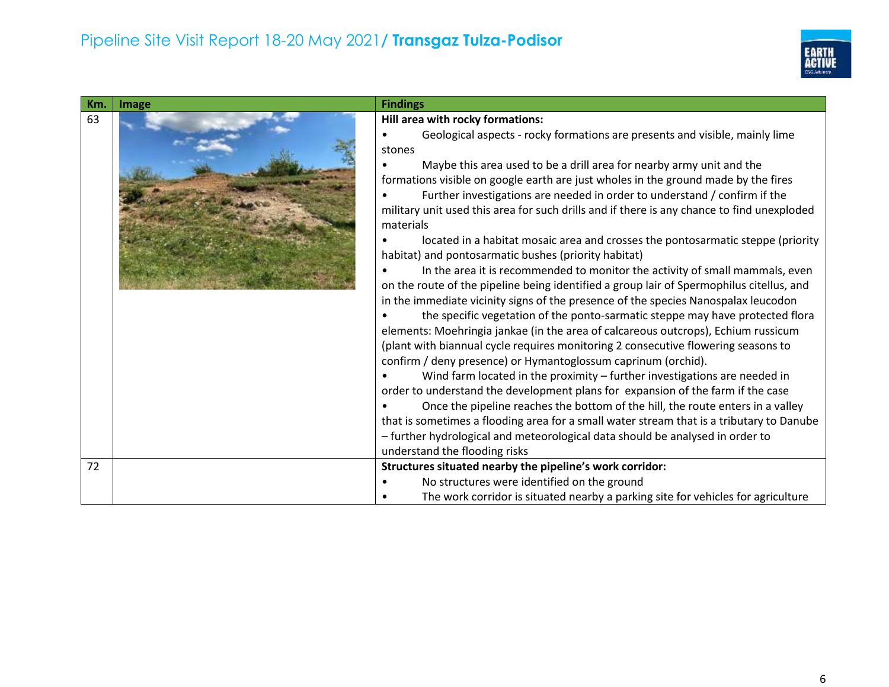

| Km.      | Image | <b>Findings</b>                                                                                                                                                                                                                                                                                                                                                                                                                                                                                                                                                                                                                                                                                                                                                                                                                                                                                                                                                                                                                                                                                                                                                                                                                                                                                                                                                                                                                                                                                                                                                                                                                                                                          |
|----------|-------|------------------------------------------------------------------------------------------------------------------------------------------------------------------------------------------------------------------------------------------------------------------------------------------------------------------------------------------------------------------------------------------------------------------------------------------------------------------------------------------------------------------------------------------------------------------------------------------------------------------------------------------------------------------------------------------------------------------------------------------------------------------------------------------------------------------------------------------------------------------------------------------------------------------------------------------------------------------------------------------------------------------------------------------------------------------------------------------------------------------------------------------------------------------------------------------------------------------------------------------------------------------------------------------------------------------------------------------------------------------------------------------------------------------------------------------------------------------------------------------------------------------------------------------------------------------------------------------------------------------------------------------------------------------------------------------|
| 63<br>72 |       | Hill area with rocky formations:<br>Geological aspects - rocky formations are presents and visible, mainly lime<br>stones<br>Maybe this area used to be a drill area for nearby army unit and the<br>formations visible on google earth are just wholes in the ground made by the fires<br>Further investigations are needed in order to understand / confirm if the<br>military unit used this area for such drills and if there is any chance to find unexploded<br>materials<br>located in a habitat mosaic area and crosses the pontosarmatic steppe (priority<br>habitat) and pontosarmatic bushes (priority habitat)<br>In the area it is recommended to monitor the activity of small mammals, even<br>on the route of the pipeline being identified a group lair of Spermophilus citellus, and<br>in the immediate vicinity signs of the presence of the species Nanospalax leucodon<br>the specific vegetation of the ponto-sarmatic steppe may have protected flora<br>elements: Moehringia jankae (in the area of calcareous outcrops), Echium russicum<br>(plant with biannual cycle requires monitoring 2 consecutive flowering seasons to<br>confirm / deny presence) or Hymantoglossum caprinum (orchid).<br>Wind farm located in the proximity - further investigations are needed in<br>order to understand the development plans for expansion of the farm if the case<br>Once the pipeline reaches the bottom of the hill, the route enters in a valley<br>that is sometimes a flooding area for a small water stream that is a tributary to Danube<br>- further hydrological and meteorological data should be analysed in order to<br>understand the flooding risks |
|          |       | Structures situated nearby the pipeline's work corridor:<br>No structures were identified on the ground<br>The work corridor is situated nearby a parking site for vehicles for agriculture                                                                                                                                                                                                                                                                                                                                                                                                                                                                                                                                                                                                                                                                                                                                                                                                                                                                                                                                                                                                                                                                                                                                                                                                                                                                                                                                                                                                                                                                                              |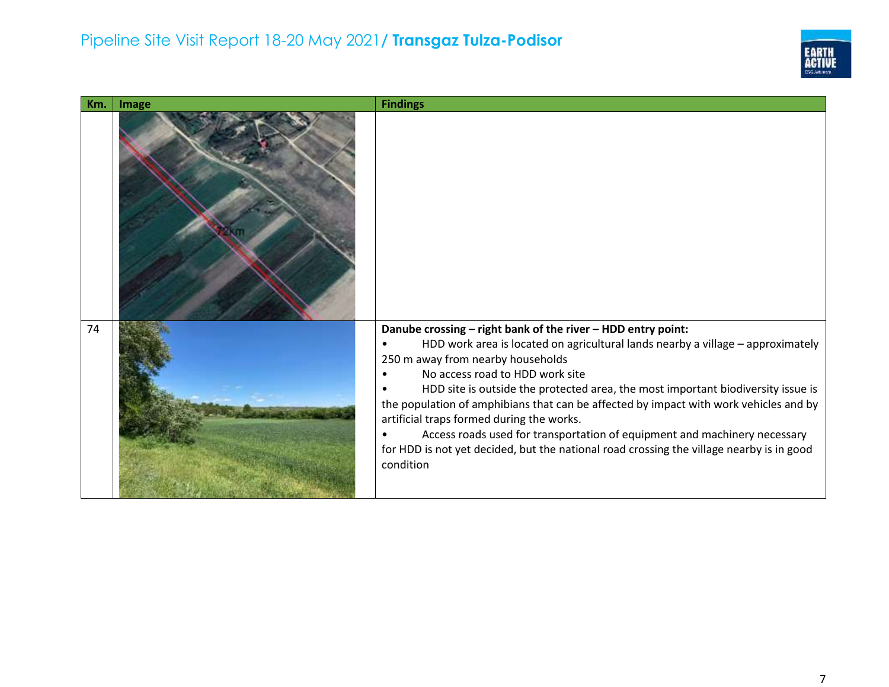

| Km. | Image | <b>Findings</b>                                                                                                                                                                                                                                                                                                                                                                                                                                                                                                                                                                                                                         |
|-----|-------|-----------------------------------------------------------------------------------------------------------------------------------------------------------------------------------------------------------------------------------------------------------------------------------------------------------------------------------------------------------------------------------------------------------------------------------------------------------------------------------------------------------------------------------------------------------------------------------------------------------------------------------------|
|     |       |                                                                                                                                                                                                                                                                                                                                                                                                                                                                                                                                                                                                                                         |
| 74  |       | Danube crossing - right bank of the river - HDD entry point:<br>HDD work area is located on agricultural lands nearby a village - approximately<br>250 m away from nearby households<br>No access road to HDD work site<br>HDD site is outside the protected area, the most important biodiversity issue is<br>the population of amphibians that can be affected by impact with work vehicles and by<br>artificial traps formed during the works.<br>Access roads used for transportation of equipment and machinery necessary<br>for HDD is not yet decided, but the national road crossing the village nearby is in good<br>condition |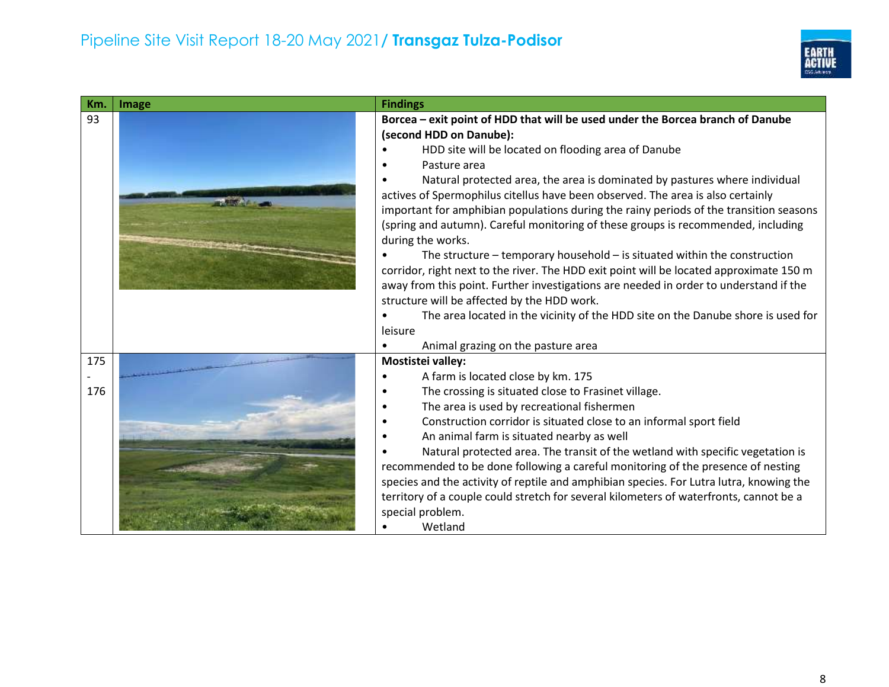

| Km. | Image | <b>Findings</b>                                                                         |
|-----|-------|-----------------------------------------------------------------------------------------|
| 93  |       | Borcea - exit point of HDD that will be used under the Borcea branch of Danube          |
|     |       | (second HDD on Danube):                                                                 |
|     |       | HDD site will be located on flooding area of Danube                                     |
|     |       | Pasture area                                                                            |
|     |       | Natural protected area, the area is dominated by pastures where individual              |
|     |       | actives of Spermophilus citellus have been observed. The area is also certainly         |
|     |       | important for amphibian populations during the rainy periods of the transition seasons  |
|     |       | (spring and autumn). Careful monitoring of these groups is recommended, including       |
|     |       | during the works.                                                                       |
|     |       | The structure $-$ temporary household $-$ is situated within the construction           |
|     |       | corridor, right next to the river. The HDD exit point will be located approximate 150 m |
|     |       | away from this point. Further investigations are needed in order to understand if the   |
|     |       | structure will be affected by the HDD work.                                             |
|     |       | The area located in the vicinity of the HDD site on the Danube shore is used for        |
|     |       | leisure                                                                                 |
|     |       | Animal grazing on the pasture area<br>$\bullet$                                         |
| 175 |       | <b>Mostistei valley:</b>                                                                |
|     |       | A farm is located close by km. 175                                                      |
| 176 |       | The crossing is situated close to Frasinet village.<br>$\bullet$                        |
|     |       | The area is used by recreational fishermen                                              |
|     |       | Construction corridor is situated close to an informal sport field<br>$\bullet$         |
|     |       | An animal farm is situated nearby as well                                               |
|     |       | Natural protected area. The transit of the wetland with specific vegetation is          |
|     |       | recommended to be done following a careful monitoring of the presence of nesting        |
|     |       | species and the activity of reptile and amphibian species. For Lutra lutra, knowing the |
|     |       | territory of a couple could stretch for several kilometers of waterfronts, cannot be a  |
|     |       | special problem.                                                                        |
|     |       | Wetland                                                                                 |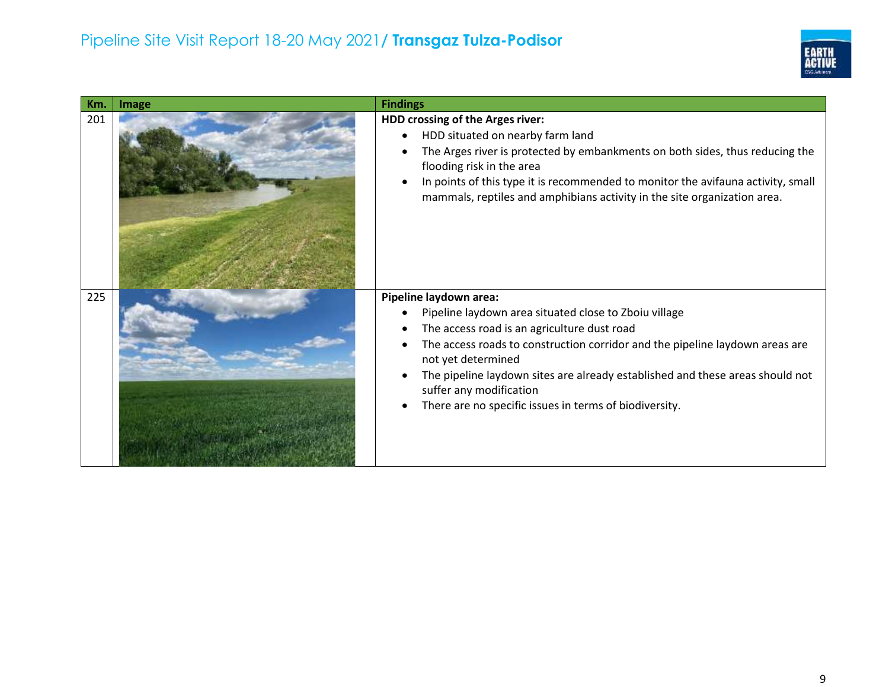

| Km. | Image | <b>Findings</b>                                                                                                                                                                                                                                                                                                                                                                                            |
|-----|-------|------------------------------------------------------------------------------------------------------------------------------------------------------------------------------------------------------------------------------------------------------------------------------------------------------------------------------------------------------------------------------------------------------------|
| 201 |       | HDD crossing of the Arges river:<br>HDD situated on nearby farm land<br>$\bullet$<br>The Arges river is protected by embankments on both sides, thus reducing the<br>flooding risk in the area<br>In points of this type it is recommended to monitor the avifauna activity, small<br>mammals, reptiles and amphibians activity in the site organization area.                                             |
| 225 |       | Pipeline laydown area:<br>Pipeline laydown area situated close to Zboiu village<br>The access road is an agriculture dust road<br>The access roads to construction corridor and the pipeline laydown areas are<br>not yet determined<br>The pipeline laydown sites are already established and these areas should not<br>suffer any modification<br>There are no specific issues in terms of biodiversity. |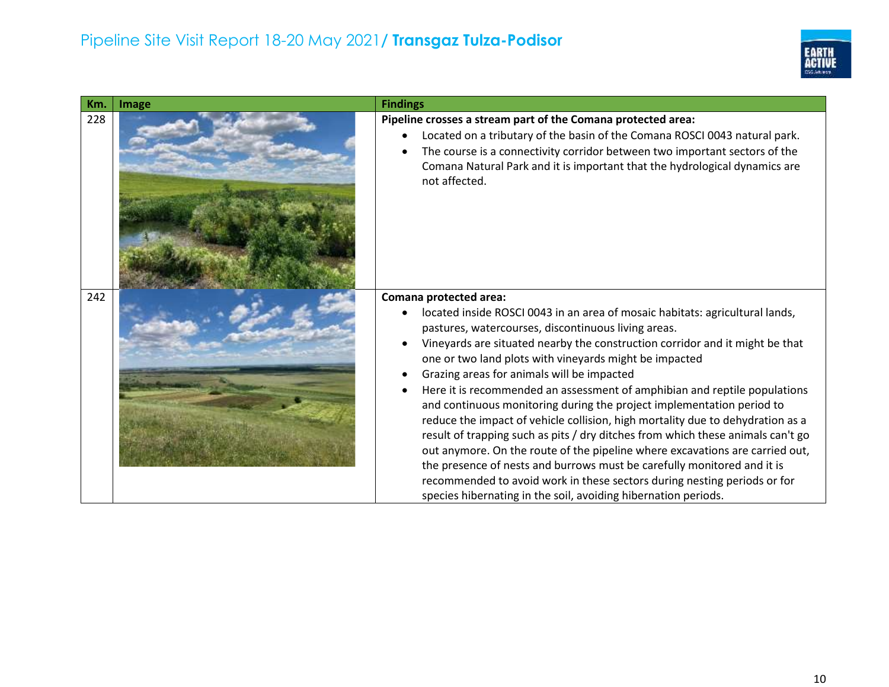

| Km. | Image | <b>Findings</b>                                                                                                                                                                                                                                                                                                                                                                                                                                                                                                                                                                                                                                                                                                                                                                                                                                                                                                                                                                                        |
|-----|-------|--------------------------------------------------------------------------------------------------------------------------------------------------------------------------------------------------------------------------------------------------------------------------------------------------------------------------------------------------------------------------------------------------------------------------------------------------------------------------------------------------------------------------------------------------------------------------------------------------------------------------------------------------------------------------------------------------------------------------------------------------------------------------------------------------------------------------------------------------------------------------------------------------------------------------------------------------------------------------------------------------------|
| 228 |       | Pipeline crosses a stream part of the Comana protected area:<br>Located on a tributary of the basin of the Comana ROSCI 0043 natural park.<br>$\bullet$<br>The course is a connectivity corridor between two important sectors of the<br>Comana Natural Park and it is important that the hydrological dynamics are<br>not affected.                                                                                                                                                                                                                                                                                                                                                                                                                                                                                                                                                                                                                                                                   |
| 242 |       | Comana protected area:<br>located inside ROSCI 0043 in an area of mosaic habitats: agricultural lands,<br>$\bullet$<br>pastures, watercourses, discontinuous living areas.<br>Vineyards are situated nearby the construction corridor and it might be that<br>one or two land plots with vineyards might be impacted<br>Grazing areas for animals will be impacted<br>Here it is recommended an assessment of amphibian and reptile populations<br>and continuous monitoring during the project implementation period to<br>reduce the impact of vehicle collision, high mortality due to dehydration as a<br>result of trapping such as pits / dry ditches from which these animals can't go<br>out anymore. On the route of the pipeline where excavations are carried out,<br>the presence of nests and burrows must be carefully monitored and it is<br>recommended to avoid work in these sectors during nesting periods or for<br>species hibernating in the soil, avoiding hibernation periods. |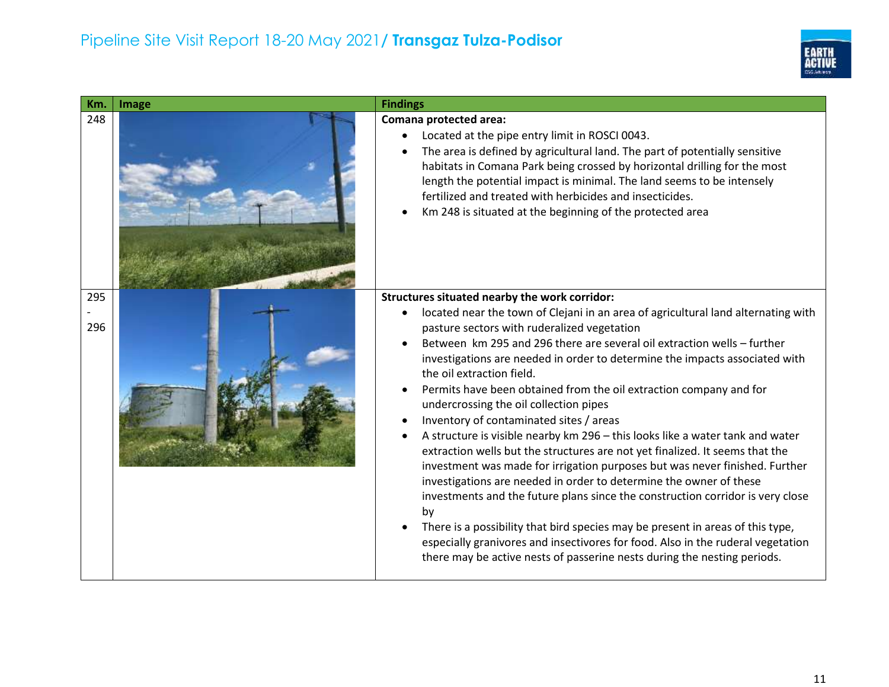

| Km.        | Image | <b>Findings</b>                                                                                                                                                                                                                                                                                                                                                                                                                                                                                                                                                                                                                                                                                                                                                                                                                                                                                                                                                                                                                                                                                                                                                                                    |
|------------|-------|----------------------------------------------------------------------------------------------------------------------------------------------------------------------------------------------------------------------------------------------------------------------------------------------------------------------------------------------------------------------------------------------------------------------------------------------------------------------------------------------------------------------------------------------------------------------------------------------------------------------------------------------------------------------------------------------------------------------------------------------------------------------------------------------------------------------------------------------------------------------------------------------------------------------------------------------------------------------------------------------------------------------------------------------------------------------------------------------------------------------------------------------------------------------------------------------------|
| 248        |       | Comana protected area:<br>Located at the pipe entry limit in ROSCI 0043.<br>$\bullet$<br>The area is defined by agricultural land. The part of potentially sensitive<br>habitats in Comana Park being crossed by horizontal drilling for the most<br>length the potential impact is minimal. The land seems to be intensely<br>fertilized and treated with herbicides and insecticides.<br>Km 248 is situated at the beginning of the protected area                                                                                                                                                                                                                                                                                                                                                                                                                                                                                                                                                                                                                                                                                                                                               |
| 295<br>296 |       | Structures situated nearby the work corridor:<br>located near the town of Clejani in an area of agricultural land alternating with<br>pasture sectors with ruderalized vegetation<br>Between km 295 and 296 there are several oil extraction wells - further<br>investigations are needed in order to determine the impacts associated with<br>the oil extraction field.<br>Permits have been obtained from the oil extraction company and for<br>undercrossing the oil collection pipes<br>Inventory of contaminated sites / areas<br>A structure is visible nearby km 296 - this looks like a water tank and water<br>extraction wells but the structures are not yet finalized. It seems that the<br>investment was made for irrigation purposes but was never finished. Further<br>investigations are needed in order to determine the owner of these<br>investments and the future plans since the construction corridor is very close<br>by<br>There is a possibility that bird species may be present in areas of this type,<br>especially granivores and insectivores for food. Also in the ruderal vegetation<br>there may be active nests of passerine nests during the nesting periods. |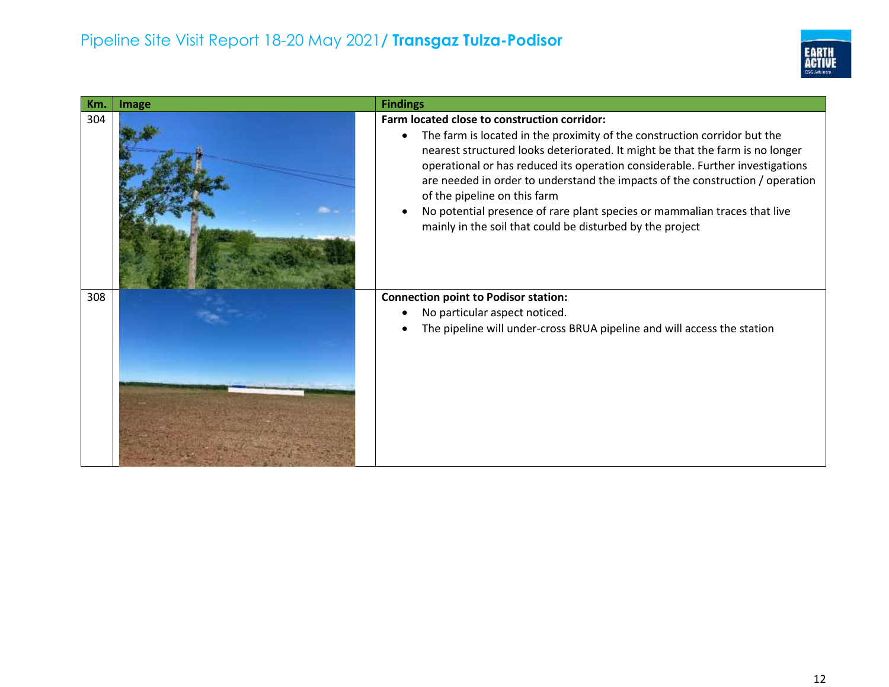

| Km. | Image | <b>Findings</b>                                                                                                                                                                                                                                                                                                                                                                                                                                                                                                                                                     |
|-----|-------|---------------------------------------------------------------------------------------------------------------------------------------------------------------------------------------------------------------------------------------------------------------------------------------------------------------------------------------------------------------------------------------------------------------------------------------------------------------------------------------------------------------------------------------------------------------------|
| 304 |       | Farm located close to construction corridor:<br>The farm is located in the proximity of the construction corridor but the<br>$\bullet$<br>nearest structured looks deteriorated. It might be that the farm is no longer<br>operational or has reduced its operation considerable. Further investigations<br>are needed in order to understand the impacts of the construction / operation<br>of the pipeline on this farm<br>No potential presence of rare plant species or mammalian traces that live<br>mainly in the soil that could be disturbed by the project |
| 308 |       | <b>Connection point to Podisor station:</b><br>No particular aspect noticed.<br>The pipeline will under-cross BRUA pipeline and will access the station                                                                                                                                                                                                                                                                                                                                                                                                             |